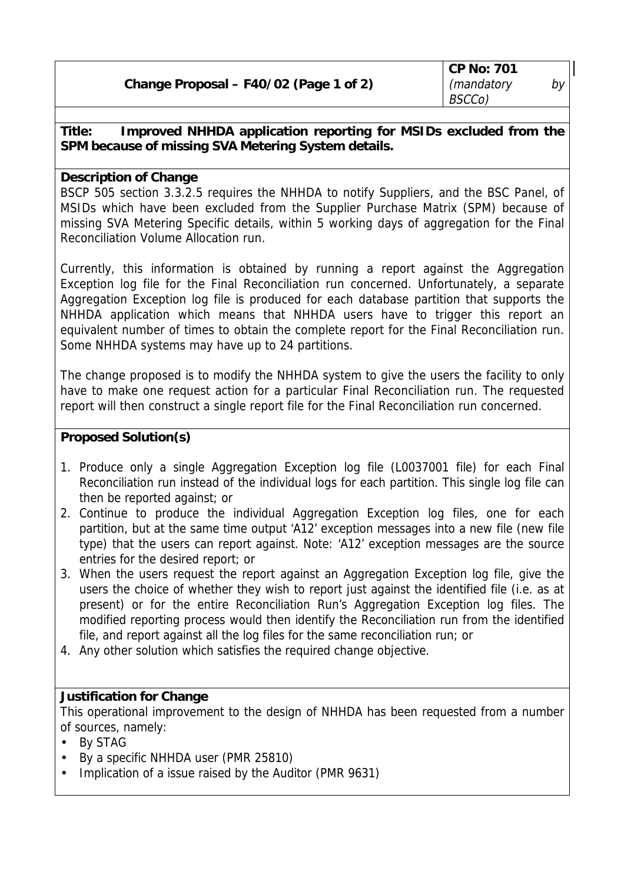| Change Proposal - F40/02 (Page 1 of 2) |  |  |
|----------------------------------------|--|--|
|                                        |  |  |

**Title: Improved NHHDA application reporting for MSIDs excluded from the SPM because of missing SVA Metering System details.**

## **Description of Change**

BSCP 505 section 3.3.2.5 requires the NHHDA to notify Suppliers, and the BSC Panel, of MSIDs which have been excluded from the Supplier Purchase Matrix (SPM) because of missing SVA Metering Specific details, within 5 working days of aggregation for the Final Reconciliation Volume Allocation run.

Currently, this information is obtained by running a report against the Aggregation Exception log file for the Final Reconciliation run concerned. Unfortunately, a separate Aggregation Exception log file is produced for each database partition that supports the NHHDA application which means that NHHDA users have to trigger this report an equivalent number of times to obtain the complete report for the Final Reconciliation run. Some NHHDA systems may have up to 24 partitions.

The change proposed is to modify the NHHDA system to give the users the facility to only have to make one request action for a particular Final Reconciliation run. The requested report will then construct a single report file for the Final Reconciliation run concerned.

## **Proposed Solution(s)**

- 1. Produce only a single Aggregation Exception log file (L0037001 file) for each Final Reconciliation run instead of the individual logs for each partition. This single log file can then be reported against; or
- 2. Continue to produce the individual Aggregation Exception log files, one for each partition, but at the same time output 'A12' exception messages into a new file (new file type) that the users can report against. Note: 'A12' exception messages are the source entries for the desired report; or
- 3. When the users request the report against an Aggregation Exception log file, give the users the choice of whether they wish to report just against the identified file (i.e. as at present) or for the entire Reconciliation Run's Aggregation Exception log files. The modified reporting process would then identify the Reconciliation run from the identified file, and report against all the log files for the same reconciliation run; or
- 4. Any other solution which satisfies the required change objective.

## **Justification for Change**

This operational improvement to the design of NHHDA has been requested from a number of sources, namely:

- By STAG
- By a specific NHHDA user (PMR 25810)
- Implication of a issue raised by the Auditor (PMR 9631)